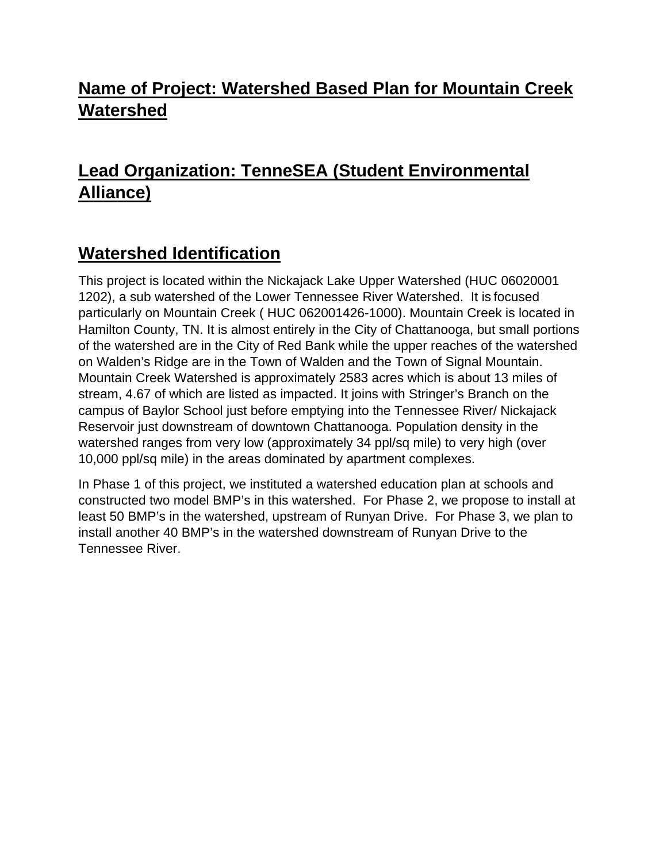#### **Name of Project: Watershed Based Plan for Mountain Creek Watershed**

### **Lead Organization: TenneSEA (Student Environmental Alliance)**

#### **Watershed Identification**

This project is located within the Nickajack Lake Upper Watershed (HUC 06020001 1202), a sub watershed of the Lower Tennessee River Watershed. It is focused particularly on Mountain Creek ( HUC 062001426-1000). Mountain Creek is located in Hamilton County, TN. It is almost entirely in the City of Chattanooga, but small portions of the watershed are in the City of Red Bank while the upper reaches of the watershed on Walden's Ridge are in the Town of Walden and the Town of Signal Mountain. Mountain Creek Watershed is approximately 2583 acres which is about 13 miles of stream, 4.67 of which are listed as impacted. It joins with Stringer's Branch on the campus of Baylor School just before emptying into the Tennessee River/ Nickajack Reservoir just downstream of downtown Chattanooga. Population density in the watershed ranges from very low (approximately 34 ppl/sq mile) to very high (over 10,000 ppl/sq mile) in the areas dominated by apartment complexes.

In Phase 1 of this project, we instituted a watershed education plan at schools and constructed two model BMP's in this watershed. For Phase 2, we propose to install at least 50 BMP's in the watershed, upstream of Runyan Drive. For Phase 3, we plan to install another 40 BMP's in the watershed downstream of Runyan Drive to the Tennessee River.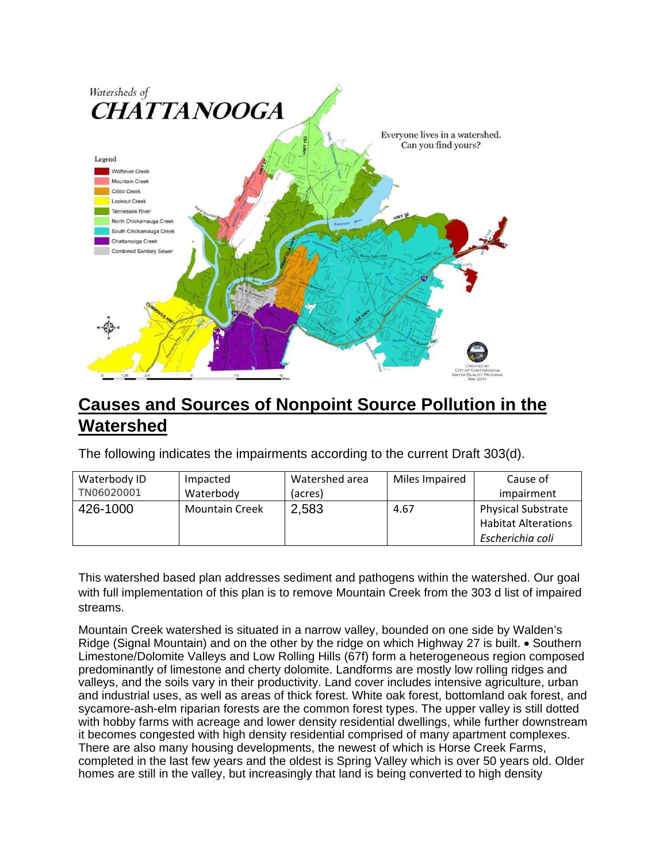

#### **Causes and Sources of Nonpoint Source Pollution in the Watershed**

The following indicates the impairments according to the current Draft 303(d).

| Waterbody ID | Impacted              | Watershed area | Miles Impaired | Cause of                                                                    |
|--------------|-----------------------|----------------|----------------|-----------------------------------------------------------------------------|
| TN06020001   | Waterbody             | (acres)        |                | impairment                                                                  |
| 426-1000     | <b>Mountain Creek</b> | 2,583          | 4.67           | <b>Physical Substrate</b><br><b>Habitat Alterations</b><br>Escherichia coli |

This watershed based plan addresses sediment and pathogens within the watershed. Our goal with full implementation of this plan is to remove Mountain Creek from the 303 d list of impaired streams.

Mountain Creek watershed is situated in a narrow valley, bounded on one side by Walden's Ridge (Signal Mountain) and on the other by the ridge on which Highway 27 is built.  $\bullet$  Southern Limestone/Dolomite Valleys and Low Rolling Hills (67f) form a heterogeneous region composed predominantly of limestone and cherty dolomite. Landforms are mostly low rolling ridges and valleys, and the soils vary in their productivity. Land cover includes intensive agriculture, urban and industrial uses, as well as areas of thick forest. White oak forest, bottomland oak forest, and sycamore-ash-elm riparian forests are the common forest types. The upper valley is still dotted with hobby farms with acreage and lower density residential dwellings, while further downstream it becomes congested with high density residential comprised of many apartment complexes. There are also many housing developments, the newest of which is Horse Creek Farms, completed in the last few years and the oldest is Spring Valley which is over 50 years old. Older homes are still in the valley, but increasingly that land is being converted to high density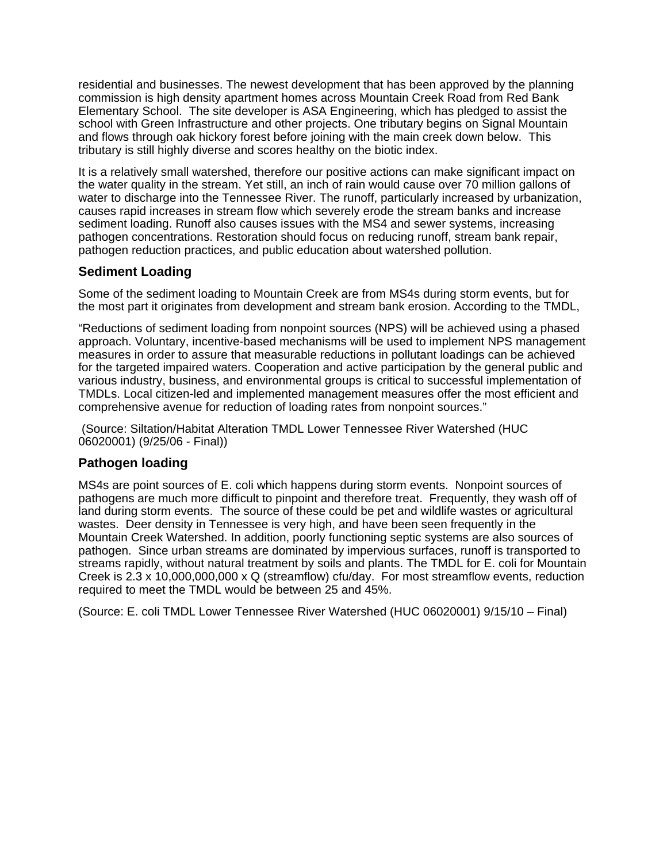residential and businesses. The newest development that has been approved by the planning commission is high density apartment homes across Mountain Creek Road from Red Bank Elementary School. The site developer is ASA Engineering, which has pledged to assist the school with Green Infrastructure and other projects. One tributary begins on Signal Mountain and flows through oak hickory forest before joining with the main creek down below. This tributary is still highly diverse and scores healthy on the biotic index.

It is a relatively small watershed, therefore our positive actions can make significant impact on the water quality in the stream. Yet still, an inch of rain would cause over 70 million gallons of water to discharge into the Tennessee River. The runoff, particularly increased by urbanization, causes rapid increases in stream flow which severely erode the stream banks and increase sediment loading. Runoff also causes issues with the MS4 and sewer systems, increasing pathogen concentrations. Restoration should focus on reducing runoff, stream bank repair, pathogen reduction practices, and public education about watershed pollution.

#### **Sediment Loading**

Some of the sediment loading to Mountain Creek are from MS4s during storm events, but for the most part it originates from development and stream bank erosion. According to the TMDL,

"Reductions of sediment loading from nonpoint sources (NPS) will be achieved using a phased approach. Voluntary, incentive-based mechanisms will be used to implement NPS management measures in order to assure that measurable reductions in pollutant loadings can be achieved for the targeted impaired waters. Cooperation and active participation by the general public and various industry, business, and environmental groups is critical to successful implementation of TMDLs. Local citizen-led and implemented management measures offer the most efficient and comprehensive avenue for reduction of loading rates from nonpoint sources."

 (Source: Siltation/Habitat Alteration TMDL Lower Tennessee River Watershed (HUC 06020001) (9/25/06 - Final))

#### **Pathogen loading**

MS4s are point sources of E. coli which happens during storm events. Nonpoint sources of pathogens are much more difficult to pinpoint and therefore treat. Frequently, they wash off of land during storm events. The source of these could be pet and wildlife wastes or agricultural wastes. Deer density in Tennessee is very high, and have been seen frequently in the Mountain Creek Watershed. In addition, poorly functioning septic systems are also sources of pathogen. Since urban streams are dominated by impervious surfaces, runoff is transported to streams rapidly, without natural treatment by soils and plants. The TMDL for E. coli for Mountain Creek is 2.3 x 10,000,000,000 x Q (streamflow) cfu/day. For most streamflow events, reduction required to meet the TMDL would be between 25 and 45%.

(Source: E. coli TMDL Lower Tennessee River Watershed (HUC 06020001) 9/15/10 – Final)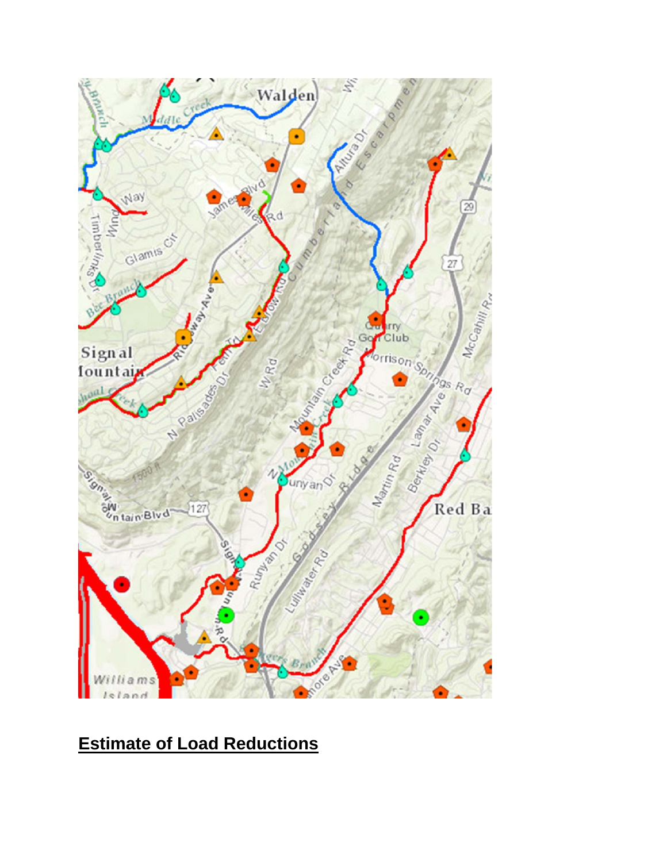

## **Estimate of Load Reductions**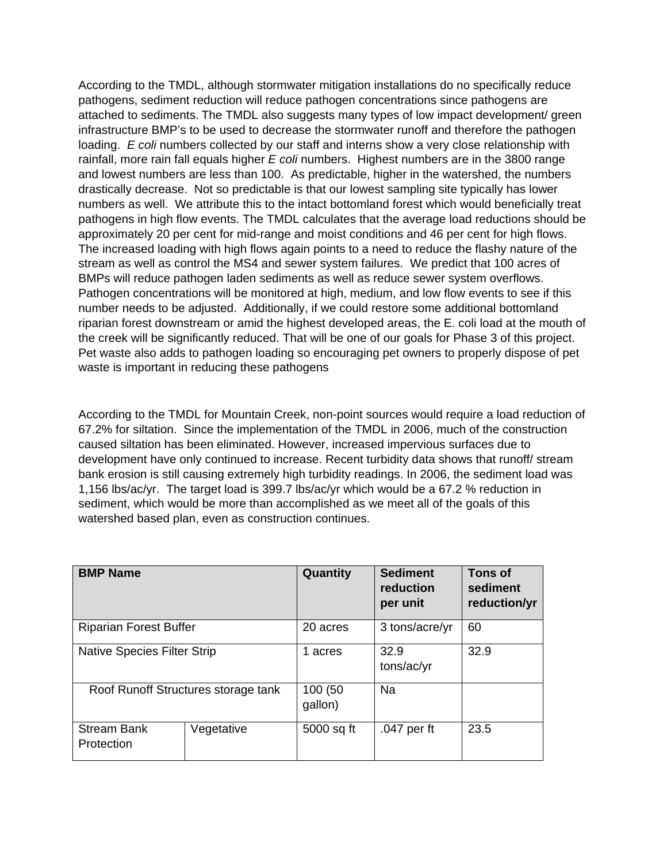According to the TMDL, although stormwater mitigation installations do no specifically reduce pathogens, sediment reduction will reduce pathogen concentrations since pathogens are attached to sediments. The TMDL also suggests many types of low impact development/ green infrastructure BMP's to be used to decrease the stormwater runoff and therefore the pathogen loading. *E coli* numbers collected by our staff and interns show a very close relationship with rainfall, more rain fall equals higher *E coli* numbers. Highest numbers are in the 3800 range and lowest numbers are less than 100. As predictable, higher in the watershed, the numbers drastically decrease. Not so predictable is that our lowest sampling site typically has lower numbers as well. We attribute this to the intact bottomland forest which would beneficially treat pathogens in high flow events. The TMDL calculates that the average load reductions should be approximately 20 per cent for mid-range and moist conditions and 46 per cent for high flows. The increased loading with high flows again points to a need to reduce the flashy nature of the stream as well as control the MS4 and sewer system failures. We predict that 100 acres of BMPs will reduce pathogen laden sediments as well as reduce sewer system overflows. Pathogen concentrations will be monitored at high, medium, and low flow events to see if this number needs to be adjusted. Additionally, if we could restore some additional bottomland riparian forest downstream or amid the highest developed areas, the E. coli load at the mouth of the creek will be significantly reduced. That will be one of our goals for Phase 3 of this project. Pet waste also adds to pathogen loading so encouraging pet owners to properly dispose of pet waste is important in reducing these pathogens

According to the TMDL for Mountain Creek, non-point sources would require a load reduction of 67.2% for siltation. Since the implementation of the TMDL in 2006, much of the construction caused siltation has been eliminated. However, increased impervious surfaces due to development have only continued to increase. Recent turbidity data shows that runoff/ stream bank erosion is still causing extremely high turbidity readings. In 2006, the sediment load was 1,156 lbs/ac/yr. The target load is 399.7 lbs/ac/yr which would be a 67.2 % reduction in sediment, which would be more than accomplished as we meet all of the goals of this watershed based plan, even as construction continues.

| <b>BMP Name</b>                     |            | Quantity           | <b>Sediment</b><br>reduction<br>per unit | Tons of<br>sediment<br>reduction/yr |
|-------------------------------------|------------|--------------------|------------------------------------------|-------------------------------------|
| <b>Riparian Forest Buffer</b>       |            | 20 acres           | 3 tons/acre/yr                           | 60                                  |
| <b>Native Species Filter Strip</b>  |            | 1 acres            | 32.9<br>tons/ac/yr                       | 32.9                                |
| Roof Runoff Structures storage tank |            | 100 (50<br>gallon) | Na                                       |                                     |
| <b>Stream Bank</b><br>Protection    | Vegetative | 5000 sq ft         | .047 per ft                              | 23.5                                |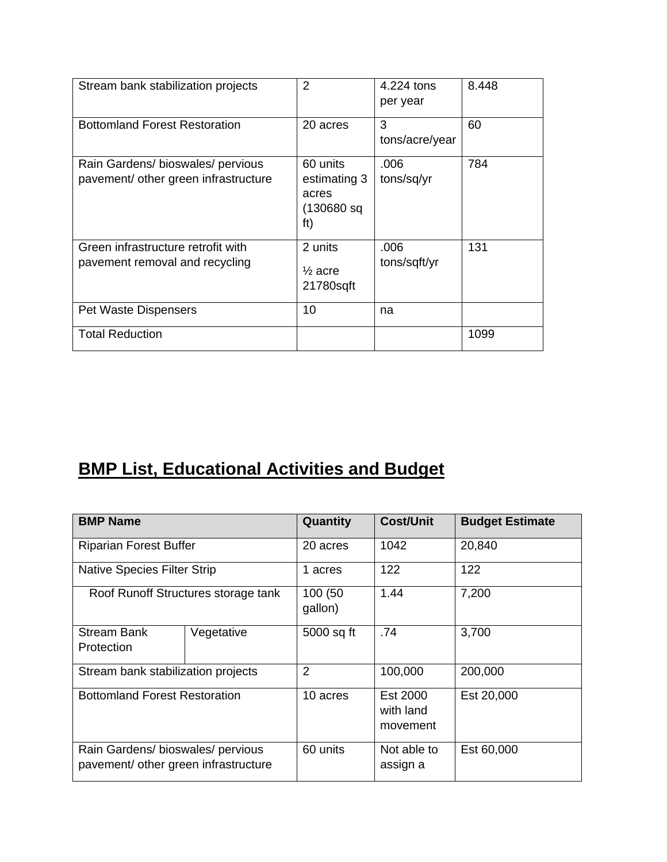| Stream bank stabilization projects                                      | $\overline{2}$                                          | 4.224 tons<br>per year | 8.448 |
|-------------------------------------------------------------------------|---------------------------------------------------------|------------------------|-------|
| <b>Bottomland Forest Restoration</b>                                    | 20 acres                                                | 3<br>tons/acre/year    | 60    |
| Rain Gardens/bioswales/pervious<br>pavement/ other green infrastructure | 60 units<br>estimating 3<br>acres<br>(130680 sq)<br>ft) | .006<br>tons/sq/yr     | 784   |
| Green infrastructure retrofit with<br>pavement removal and recycling    | 2 units<br>$\frac{1}{2}$ acre<br>21780sqft              | .006<br>tons/sqft/yr   | 131   |
| <b>Pet Waste Dispensers</b>                                             | 10                                                      | na                     |       |
| <b>Total Reduction</b>                                                  |                                                         |                        | 1099  |

# **BMP List, Educational Activities and Budget**

| <b>BMP Name</b>                                                         |                                     | Quantity           | <b>Cost/Unit</b>                  | <b>Budget Estimate</b> |
|-------------------------------------------------------------------------|-------------------------------------|--------------------|-----------------------------------|------------------------|
| <b>Riparian Forest Buffer</b>                                           |                                     | 20 acres           | 1042                              | 20,840                 |
| <b>Native Species Filter Strip</b>                                      |                                     | 1 acres            | 122                               | 122                    |
|                                                                         | Roof Runoff Structures storage tank | 100 (50<br>gallon) | 1.44                              | 7,200                  |
| <b>Stream Bank</b><br>Protection                                        | Vegetative                          | 5000 sq ft         | .74                               | 3,700                  |
| Stream bank stabilization projects                                      |                                     | $\overline{2}$     | 100,000                           | 200,000                |
| <b>Bottomland Forest Restoration</b>                                    |                                     | 10 acres           | Est 2000<br>with land<br>movement | Est 20,000             |
| Rain Gardens/bioswales/pervious<br>pavement/ other green infrastructure |                                     | 60 units           | Not able to<br>assign a           | Est 60,000             |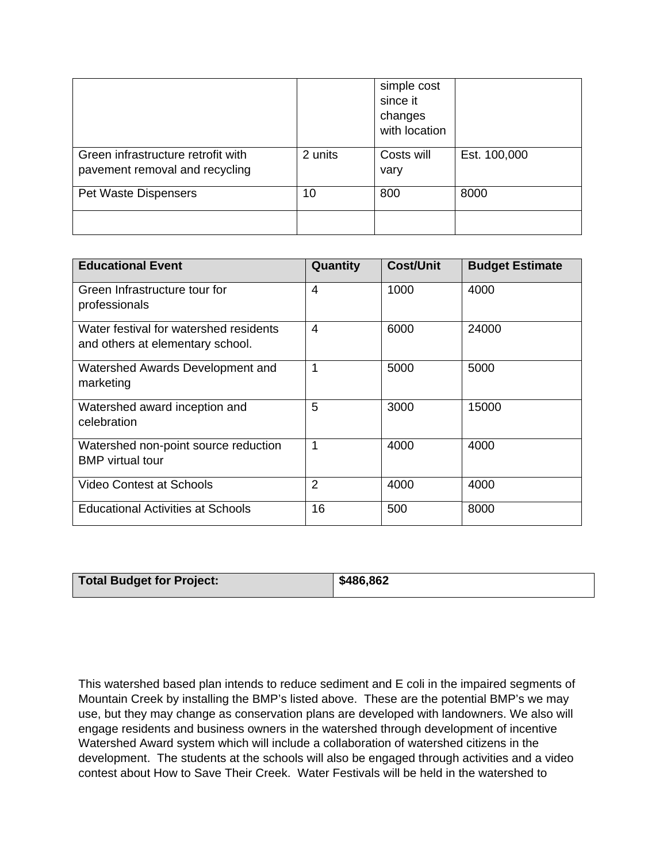|                                                                      |         | simple cost<br>since it<br>changes<br>with location |              |
|----------------------------------------------------------------------|---------|-----------------------------------------------------|--------------|
| Green infrastructure retrofit with<br>pavement removal and recycling | 2 units | Costs will<br>vary                                  | Est. 100,000 |
| Pet Waste Dispensers                                                 | 10      | 800                                                 | 8000         |
|                                                                      |         |                                                     |              |

| <b>Educational Event</b>                                                   | Quantity       | <b>Cost/Unit</b> | <b>Budget Estimate</b> |
|----------------------------------------------------------------------------|----------------|------------------|------------------------|
| Green Infrastructure tour for<br>professionals                             | 4              | 1000             | 4000                   |
| Water festival for watershed residents<br>and others at elementary school. | 4              | 6000             | 24000                  |
| Watershed Awards Development and<br>marketing                              | 1              | 5000             | 5000                   |
| Watershed award inception and<br>celebration                               | 5              | 3000             | 15000                  |
| Watershed non-point source reduction<br><b>BMP</b> virtual tour            | 1              | 4000             | 4000                   |
| <b>Video Contest at Schools</b>                                            | $\overline{2}$ | 4000             | 4000                   |
| <b>Educational Activities at Schools</b>                                   | 16             | 500              | 8000                   |

| Total Budget for Project: | \$486,862 |
|---------------------------|-----------|

This watershed based plan intends to reduce sediment and E coli in the impaired segments of Mountain Creek by installing the BMP's listed above. These are the potential BMP's we may use, but they may change as conservation plans are developed with landowners. We also will engage residents and business owners in the watershed through development of incentive Watershed Award system which will include a collaboration of watershed citizens in the development. The students at the schools will also be engaged through activities and a video contest about How to Save Their Creek. Water Festivals will be held in the watershed to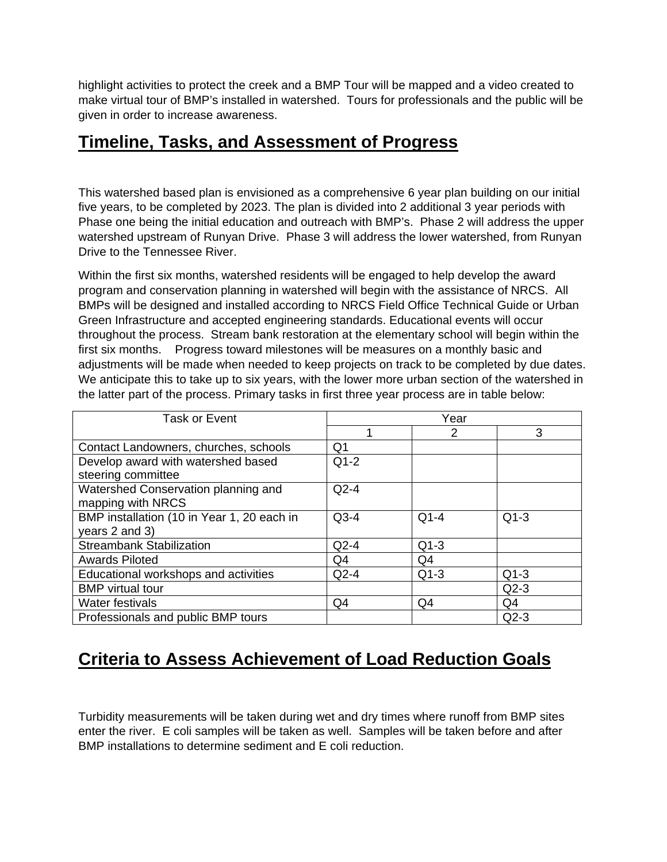highlight activities to protect the creek and a BMP Tour will be mapped and a video created to make virtual tour of BMP's installed in watershed. Tours for professionals and the public will be given in order to increase awareness.

#### **Timeline, Tasks, and Assessment of Progress**

This watershed based plan is envisioned as a comprehensive 6 year plan building on our initial five years, to be completed by 2023. The plan is divided into 2 additional 3 year periods with Phase one being the initial education and outreach with BMP's. Phase 2 will address the upper watershed upstream of Runyan Drive. Phase 3 will address the lower watershed, from Runyan Drive to the Tennessee River.

Within the first six months, watershed residents will be engaged to help develop the award program and conservation planning in watershed will begin with the assistance of NRCS. All BMPs will be designed and installed according to NRCS Field Office Technical Guide or Urban Green Infrastructure and accepted engineering standards. Educational events will occur throughout the process. Stream bank restoration at the elementary school will begin within the first six months. Progress toward milestones will be measures on a monthly basic and adjustments will be made when needed to keep projects on track to be completed by due dates. We anticipate this to take up to six years, with the lower more urban section of the watershed in the latter part of the process. Primary tasks in first three year process are in table below:

| <b>Task or Event</b>                       | Year           |        |        |  |
|--------------------------------------------|----------------|--------|--------|--|
|                                            |                | 2      | 3      |  |
| Contact Landowners, churches, schools      | Q1             |        |        |  |
| Develop award with watershed based         | $Q1-2$         |        |        |  |
| steering committee                         |                |        |        |  |
| Watershed Conservation planning and        | $Q2-4$         |        |        |  |
| mapping with NRCS                          |                |        |        |  |
| BMP installation (10 in Year 1, 20 each in | $Q3-4$         | $Q1-4$ | $Q1-3$ |  |
| years 2 and 3)                             |                |        |        |  |
| <b>Streambank Stabilization</b>            | $Q2-4$         | $Q1-3$ |        |  |
| <b>Awards Piloted</b>                      | Q4             | Q4     |        |  |
| Educational workshops and activities       | $Q2-4$         | $Q1-3$ | $Q1-3$ |  |
| <b>BMP</b> virtual tour                    |                |        | $Q2-3$ |  |
| Water festivals                            | Q <sub>4</sub> | Q4     | Q4     |  |
| Professionals and public BMP tours         |                |        | $Q2-3$ |  |

### **Criteria to Assess Achievement of Load Reduction Goals**

Turbidity measurements will be taken during wet and dry times where runoff from BMP sites enter the river. E coli samples will be taken as well. Samples will be taken before and after BMP installations to determine sediment and E coli reduction.